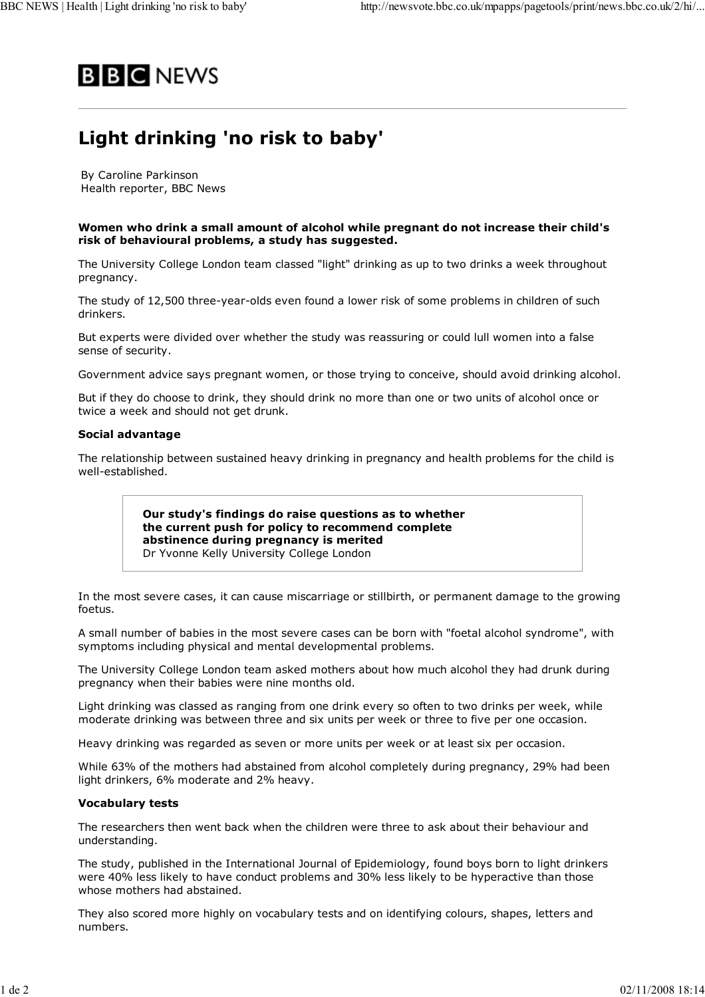

# **Light drinking 'no risk to baby'**

By Caroline Parkinson Health reporter, BBC News

### **Women who drink a small amount of alcohol while pregnant do not increase their child's risk of behavioural problems, a study has suggested.**

The University College London team classed "light" drinking as up to two drinks a week throughout pregnancy.

The study of 12,500 three-year-olds even found a lower risk of some problems in children of such drinkers.

But experts were divided over whether the study was reassuring or could lull women into a false sense of security.

Government advice says pregnant women, or those trying to conceive, should avoid drinking alcohol.

But if they do choose to drink, they should drink no more than one or two units of alcohol once or twice a week and should not get drunk.

## **Social advantage**

The relationship between sustained heavy drinking in pregnancy and health problems for the child is well-established.

> **Our study's findings do raise questions as to whether the current push for policy to recommend complete abstinence during pregnancy is merited** Dr Yvonne Kelly University College London

In the most severe cases, it can cause miscarriage or stillbirth, or permanent damage to the growing foetus.

A small number of babies in the most severe cases can be born with "foetal alcohol syndrome", with symptoms including physical and mental developmental problems.

The University College London team asked mothers about how much alcohol they had drunk during pregnancy when their babies were nine months old.

Light drinking was classed as ranging from one drink every so often to two drinks per week, while moderate drinking was between three and six units per week or three to five per one occasion.

Heavy drinking was regarded as seven or more units per week or at least six per occasion.

While 63% of the mothers had abstained from alcohol completely during pregnancy, 29% had been light drinkers, 6% moderate and 2% heavy.

## **Vocabulary tests**

The researchers then went back when the children were three to ask about their behaviour and understanding.

The study, published in the International Journal of Epidemiology, found boys born to light drinkers were 40% less likely to have conduct problems and 30% less likely to be hyperactive than those whose mothers had abstained.

They also scored more highly on vocabulary tests and on identifying colours, shapes, letters and numbers.